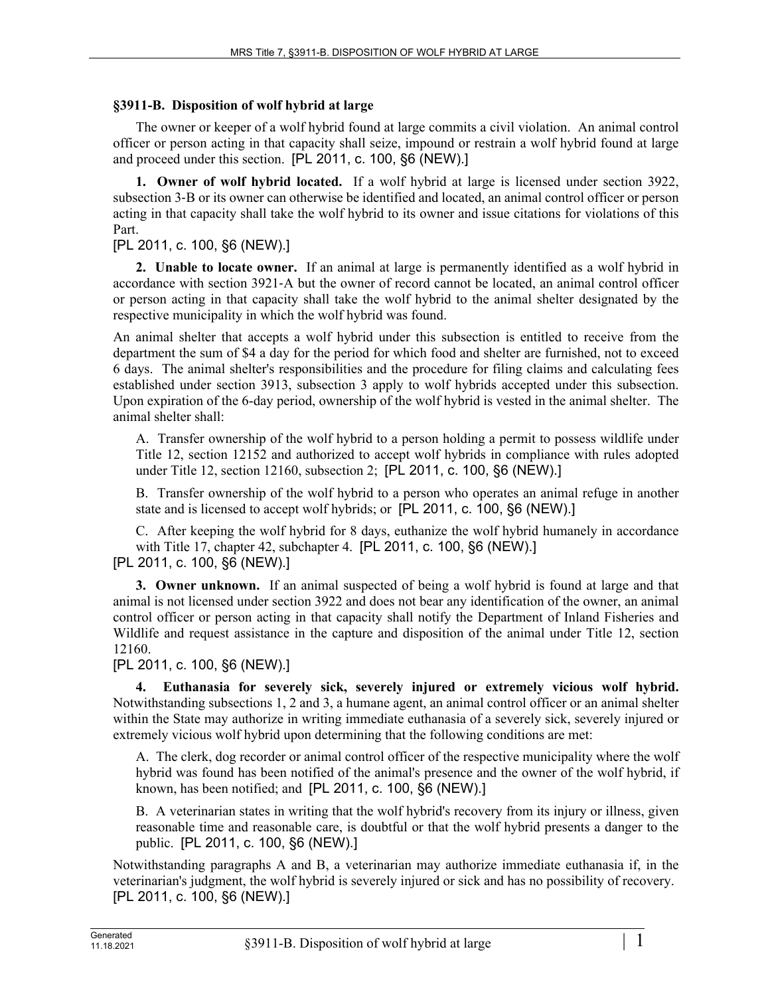## **§3911-B. Disposition of wolf hybrid at large**

The owner or keeper of a wolf hybrid found at large commits a civil violation. An animal control officer or person acting in that capacity shall seize, impound or restrain a wolf hybrid found at large and proceed under this section. [PL 2011, c. 100, §6 (NEW).]

**1. Owner of wolf hybrid located.** If a wolf hybrid at large is licensed under section 3922, subsection 3‑B or its owner can otherwise be identified and located, an animal control officer or person acting in that capacity shall take the wolf hybrid to its owner and issue citations for violations of this Part.

## [PL 2011, c. 100, §6 (NEW).]

**2. Unable to locate owner.** If an animal at large is permanently identified as a wolf hybrid in accordance with section 3921‑A but the owner of record cannot be located, an animal control officer or person acting in that capacity shall take the wolf hybrid to the animal shelter designated by the respective municipality in which the wolf hybrid was found.

An animal shelter that accepts a wolf hybrid under this subsection is entitled to receive from the department the sum of \$4 a day for the period for which food and shelter are furnished, not to exceed 6 days. The animal shelter's responsibilities and the procedure for filing claims and calculating fees established under section 3913, subsection 3 apply to wolf hybrids accepted under this subsection. Upon expiration of the 6-day period, ownership of the wolf hybrid is vested in the animal shelter. The animal shelter shall:

A. Transfer ownership of the wolf hybrid to a person holding a permit to possess wildlife under Title 12, section 12152 and authorized to accept wolf hybrids in compliance with rules adopted under Title 12, section 12160, subsection 2; [PL 2011, c. 100, §6 (NEW).]

B. Transfer ownership of the wolf hybrid to a person who operates an animal refuge in another state and is licensed to accept wolf hybrids; or [PL 2011, c. 100, §6 (NEW).]

C. After keeping the wolf hybrid for 8 days, euthanize the wolf hybrid humanely in accordance with Title 17, chapter 42, subchapter 4. [PL 2011, c. 100, §6 (NEW).] [PL 2011, c. 100, §6 (NEW).]

**3. Owner unknown.** If an animal suspected of being a wolf hybrid is found at large and that animal is not licensed under section 3922 and does not bear any identification of the owner, an animal control officer or person acting in that capacity shall notify the Department of Inland Fisheries and Wildlife and request assistance in the capture and disposition of the animal under Title 12, section 12160.

[PL 2011, c. 100, §6 (NEW).]

**4. Euthanasia for severely sick, severely injured or extremely vicious wolf hybrid.**  Notwithstanding subsections 1, 2 and 3, a humane agent, an animal control officer or an animal shelter within the State may authorize in writing immediate euthanasia of a severely sick, severely injured or extremely vicious wolf hybrid upon determining that the following conditions are met:

A. The clerk, dog recorder or animal control officer of the respective municipality where the wolf hybrid was found has been notified of the animal's presence and the owner of the wolf hybrid, if known, has been notified; and [PL 2011, c. 100, §6 (NEW).]

B. A veterinarian states in writing that the wolf hybrid's recovery from its injury or illness, given reasonable time and reasonable care, is doubtful or that the wolf hybrid presents a danger to the public. [PL 2011, c. 100, §6 (NEW).]

Notwithstanding paragraphs A and B, a veterinarian may authorize immediate euthanasia if, in the veterinarian's judgment, the wolf hybrid is severely injured or sick and has no possibility of recovery. [PL 2011, c. 100, §6 (NEW).]